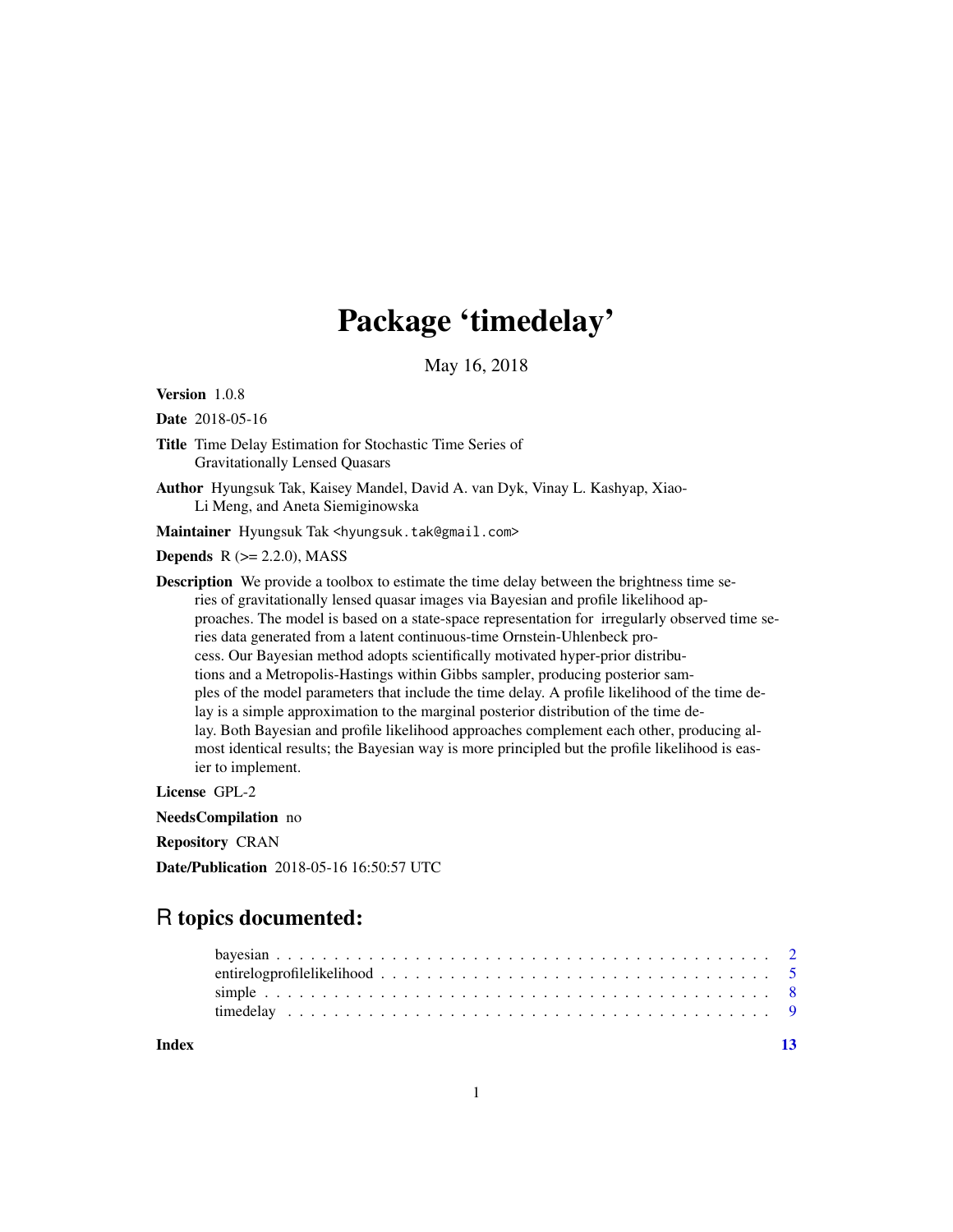## Package 'timedelay'

May 16, 2018

Version 1.0.8

Date 2018-05-16

- Title Time Delay Estimation for Stochastic Time Series of Gravitationally Lensed Quasars
- Author Hyungsuk Tak, Kaisey Mandel, David A. van Dyk, Vinay L. Kashyap, Xiao-Li Meng, and Aneta Siemiginowska

Maintainer Hyungsuk Tak <hyungsuk.tak@gmail.com>

**Depends**  $R$  ( $>= 2.2.0$ ), MASS

Description We provide a toolbox to estimate the time delay between the brightness time series of gravitationally lensed quasar images via Bayesian and profile likelihood approaches. The model is based on a state-space representation for irregularly observed time series data generated from a latent continuous-time Ornstein-Uhlenbeck process. Our Bayesian method adopts scientifically motivated hyper-prior distributions and a Metropolis-Hastings within Gibbs sampler, producing posterior samples of the model parameters that include the time delay. A profile likelihood of the time delay is a simple approximation to the marginal posterior distribution of the time delay. Both Bayesian and profile likelihood approaches complement each other, producing almost identical results; the Bayesian way is more principled but the profile likelihood is easier to implement.

License GPL-2

NeedsCompilation no

Repository CRAN

Date/Publication 2018-05-16 16:50:57 UTC

### R topics documented:

**Index** [13](#page-12-0)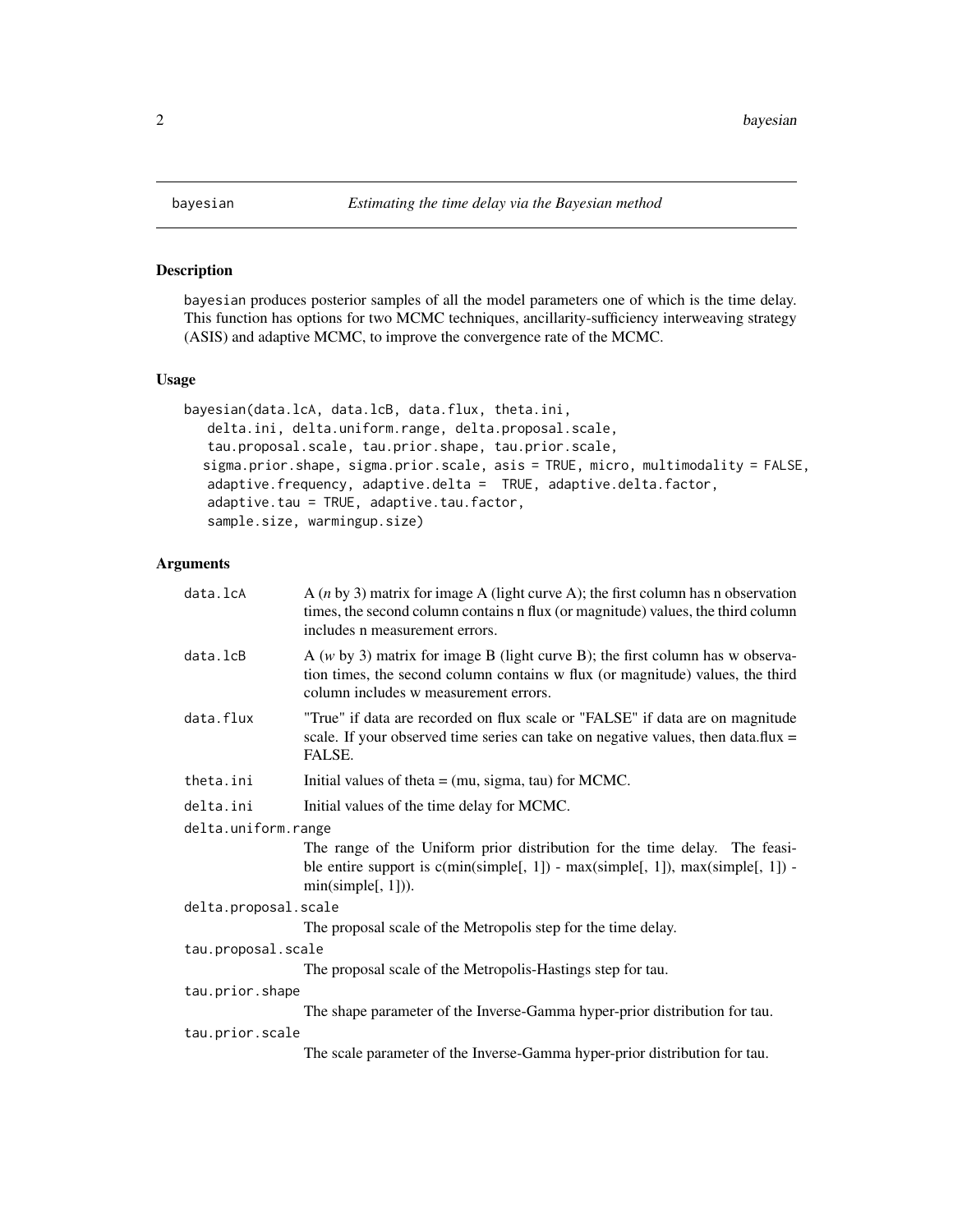<span id="page-1-1"></span><span id="page-1-0"></span>

#### Description

bayesian produces posterior samples of all the model parameters one of which is the time delay. This function has options for two MCMC techniques, ancillarity-sufficiency interweaving strategy (ASIS) and adaptive MCMC, to improve the convergence rate of the MCMC.

#### Usage

```
bayesian(data.lcA, data.lcB, data.flux, theta.ini,
  delta.ini, delta.uniform.range, delta.proposal.scale,
   tau.proposal.scale, tau.prior.shape, tau.prior.scale,
  sigma.prior.shape, sigma.prior.scale, asis = TRUE, micro, multimodality = FALSE,
   adaptive.frequency, adaptive.delta = TRUE, adaptive.delta.factor,
   adaptive.tau = TRUE, adaptive.tau.factor,
   sample.size, warmingup.size)
```
#### Arguments

| data.lcA             | A $(n \text{ by } 3)$ matrix for image A (light curve A); the first column has n observation<br>times, the second column contains n flux (or magnitude) values, the third column<br>includes n measurement errors. |
|----------------------|--------------------------------------------------------------------------------------------------------------------------------------------------------------------------------------------------------------------|
| data.lcB             | A $(w$ by 3) matrix for image B (light curve B); the first column has w observa-<br>tion times, the second column contains w flux (or magnitude) values, the third<br>column includes w measurement errors.        |
| data.flux            | "True" if data are recorded on flux scale or "FALSE" if data are on magnitude<br>scale. If your observed time series can take on negative values, then data.flux =<br>FALSE.                                       |
| theta.ini            | Initial values of theta $=$ (mu, sigma, tau) for MCMC.                                                                                                                                                             |
| delta.ini            | Initial values of the time delay for MCMC.                                                                                                                                                                         |
| delta.uniform.range  |                                                                                                                                                                                                                    |
|                      | The range of the Uniform prior distribution for the time delay. The feasi-<br>ble entire support is $c(min(simple[, 1])$ - $max(simple[, 1])$ , $max(simple[, 1])$ -<br>min(simple[, 1]).                          |
| delta.proposal.scale |                                                                                                                                                                                                                    |
|                      | The proposal scale of the Metropolis step for the time delay.                                                                                                                                                      |
| tau.proposal.scale   |                                                                                                                                                                                                                    |
|                      | The proposal scale of the Metropolis-Hastings step for tau.                                                                                                                                                        |
| tau.prior.shape      |                                                                                                                                                                                                                    |
|                      | The shape parameter of the Inverse-Gamma hyper-prior distribution for tau.                                                                                                                                         |
| tau.prior.scale      |                                                                                                                                                                                                                    |
|                      | The scale parameter of the Inverse-Gamma hyper-prior distribution for tau.                                                                                                                                         |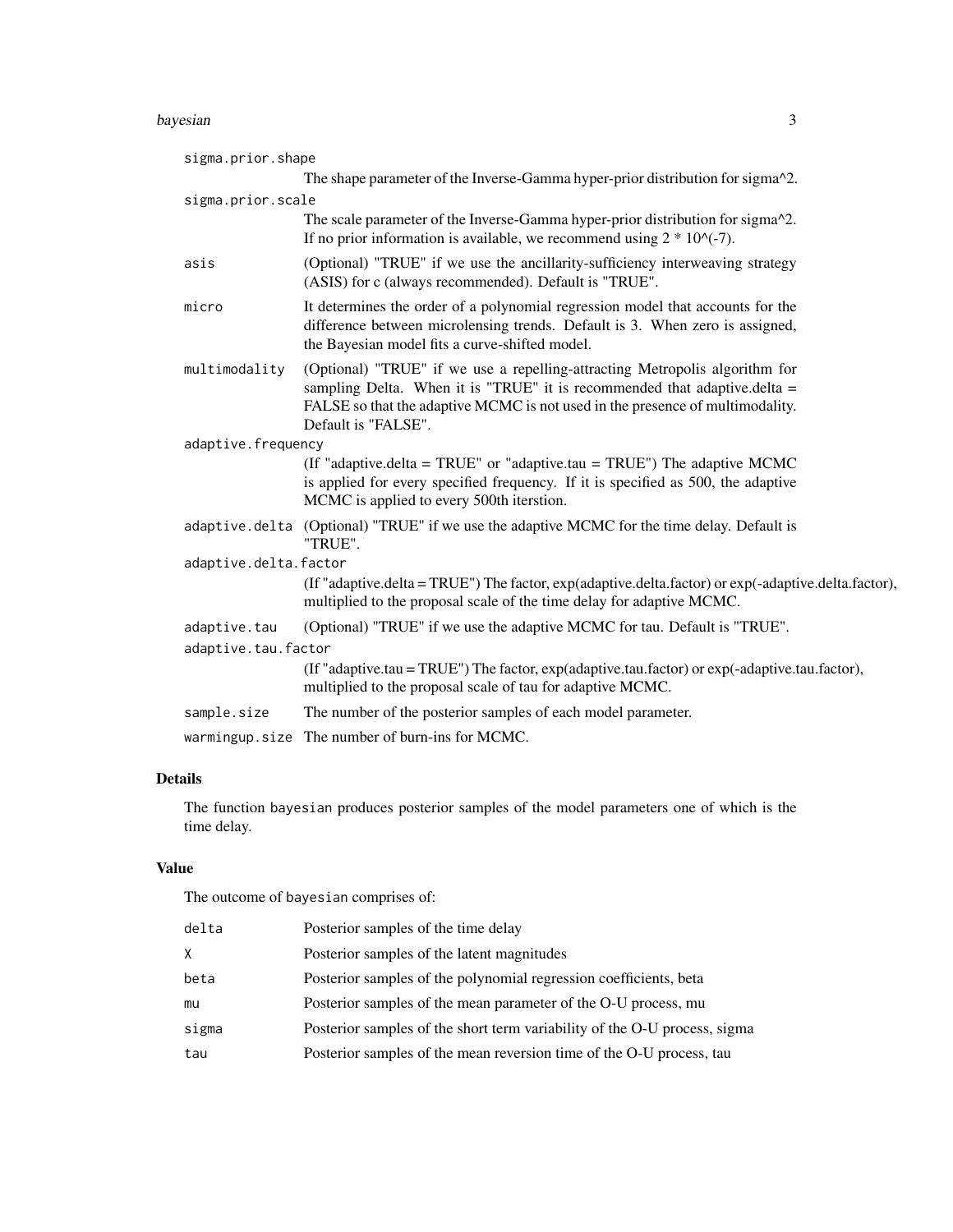#### bayesian 3

| sigma.prior.shape     |                                                                                                                                                                                                                                                                    |
|-----------------------|--------------------------------------------------------------------------------------------------------------------------------------------------------------------------------------------------------------------------------------------------------------------|
|                       | The shape parameter of the Inverse-Gamma hyper-prior distribution for sigma <sup>12</sup> .                                                                                                                                                                        |
| sigma.prior.scale     |                                                                                                                                                                                                                                                                    |
|                       | The scale parameter of the Inverse-Gamma hyper-prior distribution for sigma <sup>12</sup> .<br>If no prior information is available, we recommend using $2 * 10$ $\left(\frac{1}{2}\right)$ .                                                                      |
| asis                  | (Optional) "TRUE" if we use the ancillarity-sufficiency interweaving strategy<br>(ASIS) for c (always recommended). Default is "TRUE".                                                                                                                             |
| micro                 | It determines the order of a polynomial regression model that accounts for the<br>difference between microlensing trends. Default is 3. When zero is assigned,<br>the Bayesian model fits a curve-shifted model.                                                   |
| multimodality         | (Optional) "TRUE" if we use a repelling-attracting Metropolis algorithm for<br>sampling Delta. When it is "TRUE" it is recommended that adaptive.delta $=$<br>FALSE so that the adaptive MCMC is not used in the presence of multimodality.<br>Default is "FALSE". |
| adaptive.frequency    |                                                                                                                                                                                                                                                                    |
|                       | (If "adaptive.delta = TRUE" or "adaptive.tau = TRUE") The adaptive MCMC<br>is applied for every specified frequency. If it is specified as 500, the adaptive<br>MCMC is applied to every 500th iterstion.                                                          |
|                       | adaptive.delta (Optional) "TRUE" if we use the adaptive MCMC for the time delay. Default is<br>"TRUE".                                                                                                                                                             |
| adaptive.delta.factor |                                                                                                                                                                                                                                                                    |
|                       | (If "adaptive.delta=TRUE") The factor, exp(adaptive.delta.factor) or exp(-adaptive.delta.factor),<br>multiplied to the proposal scale of the time delay for adaptive MCMC.                                                                                         |
| adaptive.tau          | (Optional) "TRUE" if we use the adaptive MCMC for tau. Default is "TRUE".                                                                                                                                                                                          |
| adaptive.tau.factor   |                                                                                                                                                                                                                                                                    |
|                       | (If "adaptive.tau = TRUE") The factor, exp(adaptive.tau.factor) or exp(-adaptive.tau.factor),<br>multiplied to the proposal scale of tau for adaptive MCMC.                                                                                                        |
| sample.size           | The number of the posterior samples of each model parameter.                                                                                                                                                                                                       |
|                       | warmingup.size The number of burn-ins for MCMC.                                                                                                                                                                                                                    |

#### Details

The function bayesian produces posterior samples of the model parameters one of which is the time delay.

#### Value

The outcome of bayesian comprises of:

| delta | Posterior samples of the time delay                                       |
|-------|---------------------------------------------------------------------------|
| X.    | Posterior samples of the latent magnitudes                                |
| beta  | Posterior samples of the polynomial regression coefficients, beta         |
| mu    | Posterior samples of the mean parameter of the O-U process, mu            |
| sigma | Posterior samples of the short term variability of the O-U process, sigma |
| tau   | Posterior samples of the mean reversion time of the O-U process, tau      |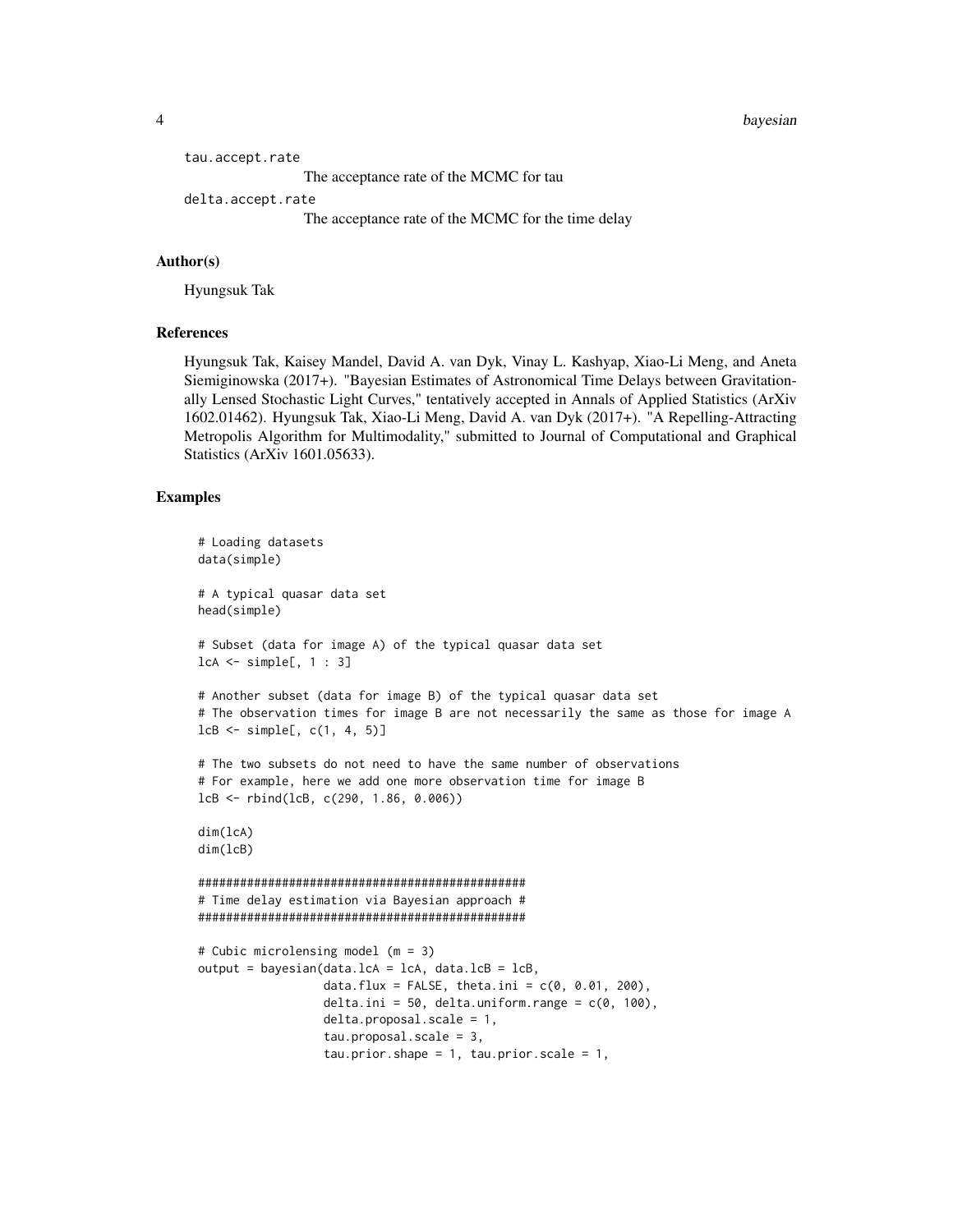4 bayesian

```
tau.accept.rate
                 The acceptance rate of the MCMC for tau
delta.accept.rate
                 The acceptance rate of the MCMC for the time delay
```
#### Author(s)

Hyungsuk Tak

#### References

Hyungsuk Tak, Kaisey Mandel, David A. van Dyk, Vinay L. Kashyap, Xiao-Li Meng, and Aneta Siemiginowska (2017+). "Bayesian Estimates of Astronomical Time Delays between Gravitationally Lensed Stochastic Light Curves," tentatively accepted in Annals of Applied Statistics (ArXiv 1602.01462). Hyungsuk Tak, Xiao-Li Meng, David A. van Dyk (2017+). "A Repelling-Attracting Metropolis Algorithm for Multimodality," submitted to Journal of Computational and Graphical Statistics (ArXiv 1601.05633).

#### Examples

```
# Loading datasets
data(simple)
# A typical quasar data set
head(simple)
# Subset (data for image A) of the typical quasar data set
lcA <- simple[, 1 : 3]
# Another subset (data for image B) of the typical quasar data set
# The observation times for image B are not necessarily the same as those for image A
lcB \leftarrow simple[, c(1, 4, 5)]# The two subsets do not need to have the same number of observations
# For example, here we add one more observation time for image B
lcB <- rbind(lcB, c(290, 1.86, 0.006))
dim(lcA)
dim(lcB)
###############################################
# Time delay estimation via Bayesian approach #
###############################################
# Cubic microlensing model (m = 3)
output = bayesian(data.lcA = lcA, data.lcB = lcB,
                  data.flux = FALSE, theta.ini = c(0, 0.01, 200),
                  delta.ini = 50, delta.uniform.range = c(0, 100),
                  delta.proposal.scale = 1,
                  tau.proposal.scale = 3,
                  tau.prior.shape = 1, tau.prior.scale = 1,
```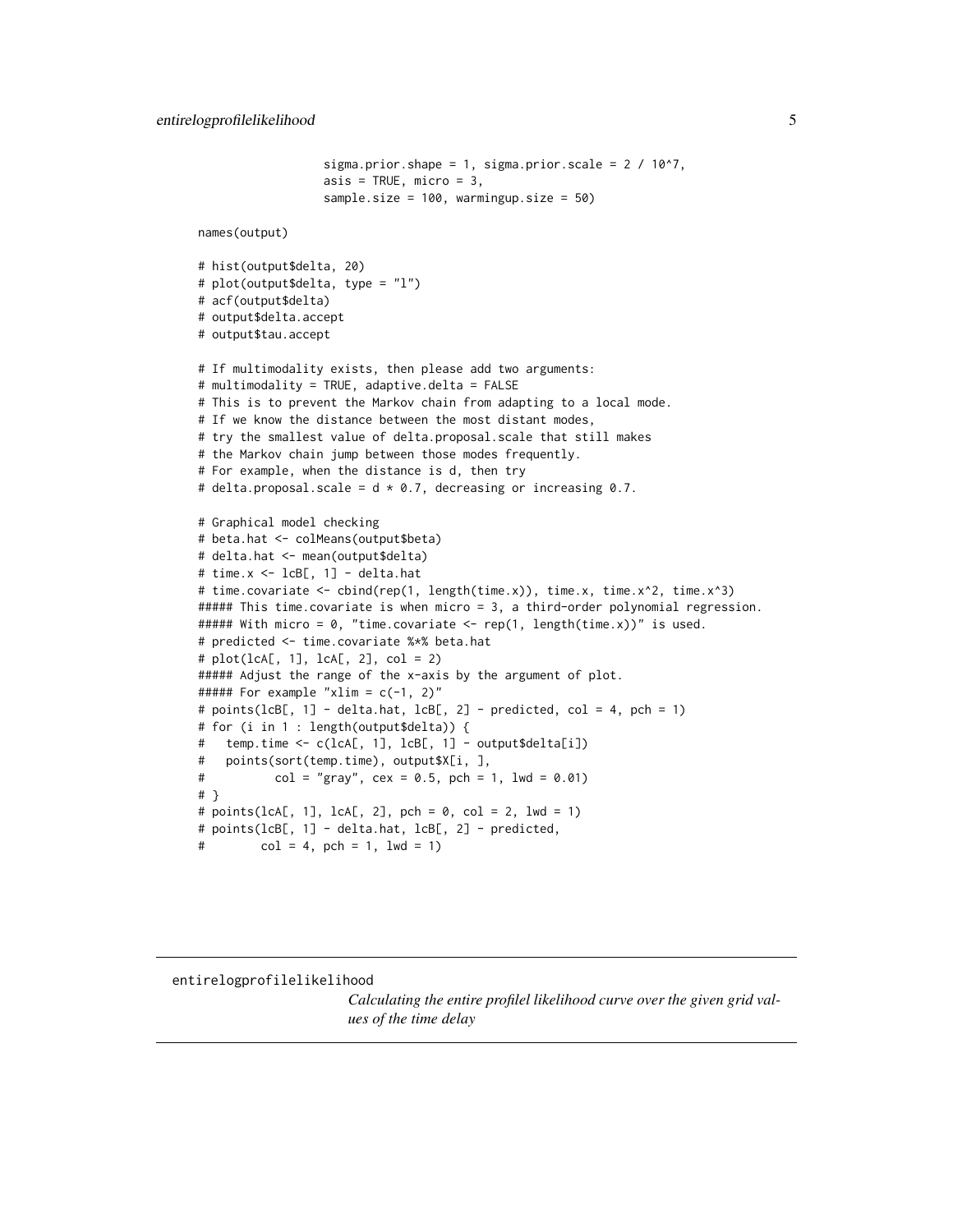```
sigma.prior.shape = 1, sigma.prior.scale = 2 / 10^2,
                  asis = TRUE, micro = 3,
                  sample.size = 100, warmingup.size = 50)
names(output)
# hist(output$delta, 20)
# plot(output$delta, type = "l")
# acf(output$delta)
# output$delta.accept
# output$tau.accept
# If multimodality exists, then please add two arguments:
# multimodality = TRUE, adaptive.delta = FALSE
# This is to prevent the Markov chain from adapting to a local mode.
# If we know the distance between the most distant modes,
# try the smallest value of delta.proposal.scale that still makes
# the Markov chain jump between those modes frequently.
# For example, when the distance is d, then try
# delta.proposal.scale = d \times 0.7, decreasing or increasing 0.7.
# Graphical model checking
# beta.hat <- colMeans(output$beta)
# delta.hat <- mean(output$delta)
# time.x <- lcB[, 1] - delta.hat
# time.covariate <- cbind(rep(1, length(time.x)), time.x, time.x^2, time.x^3)
##### This time.covariate is when micro = 3, a third-order polynomial regression.
##### With micro = 0, "time.covariate <- rep(1, length(time.x))" is used.
# predicted <- time.covariate %*% beta.hat
# plot(lcA[, 1], lcA[, 2], col = 2)
##### Adjust the range of the x-axis by the argument of plot.
##### For example "xlim = c(-1, 2)"
# points(lcB[, 1] - delta.hat, lcB[, 2] - predicted, col = 4, pch = 1)
# for (i in 1 : length(output$delta)) {
   temp.time \leftarrow c(lcA[, 1], lcB[, 1] - output$delta[i])# points(sort(temp.time), output$X[i, ],
           col = "gray", cex = 0.5, pch = 1, lwd = 0.01)# }
# points(lcA[, 1], lcA[, 2], pch = 0, col = 2, lwd = 1)# points(lcB[, 1] - delta.hat, lcB[, 2] - predicted,
         col = 4, pch = 1, lwd = 1)
```
<span id="page-4-1"></span>entirelogprofilelikelihood

*Calculating the entire profilel likelihood curve over the given grid values of the time delay*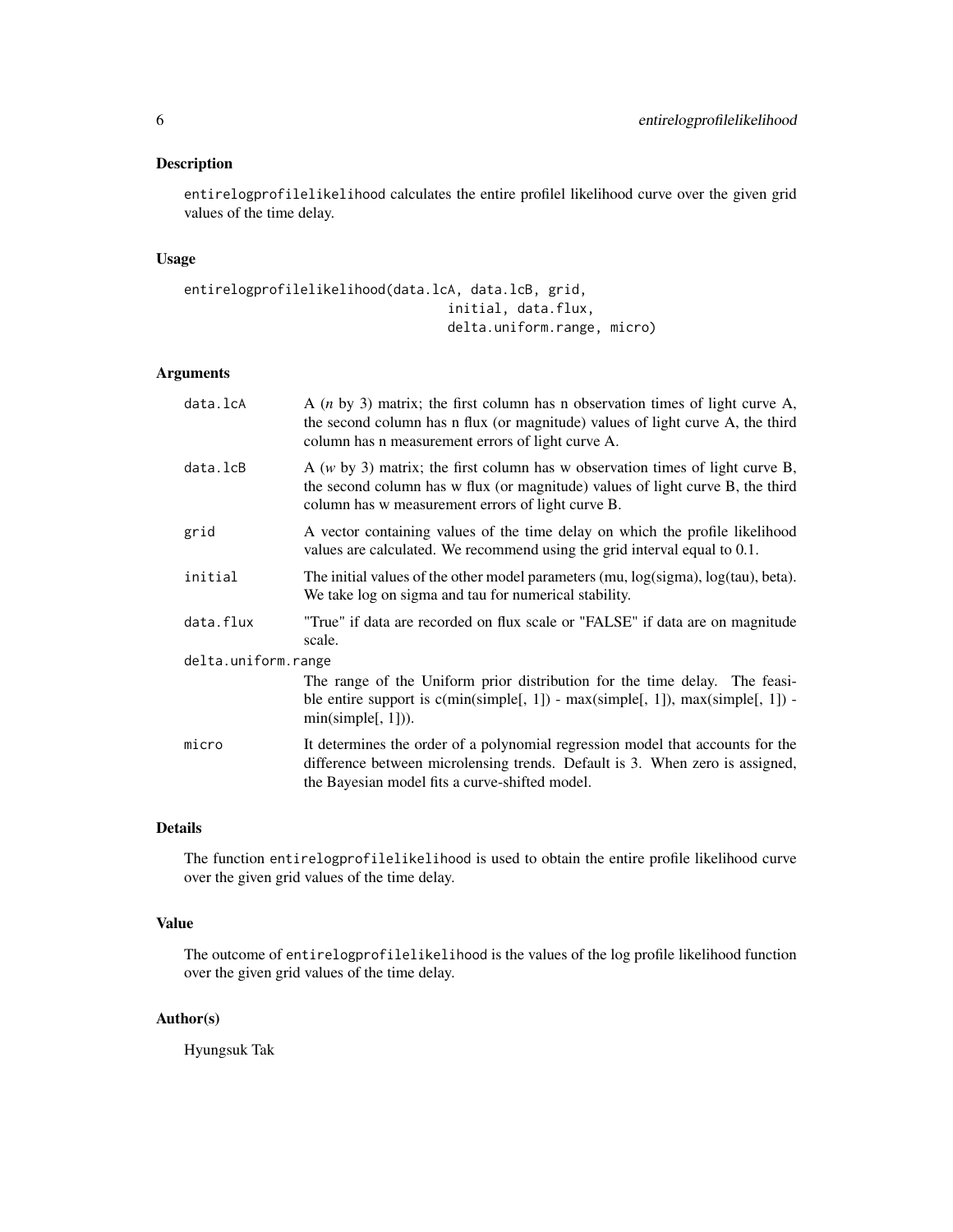#### Description

entirelogprofilelikelihood calculates the entire profilel likelihood curve over the given grid values of the time delay.

#### Usage

```
entirelogprofilelikelihood(data.lcA, data.lcB, grid,
                                  initial, data.flux,
                                  delta.uniform.range, micro)
```
#### Arguments

| data.lcA            | A $(n \text{ by } 3)$ matrix; the first column has n observation times of light curve A,<br>the second column has n flux (or magnitude) values of light curve A, the third<br>column has n measurement errors of light curve A. |
|---------------------|---------------------------------------------------------------------------------------------------------------------------------------------------------------------------------------------------------------------------------|
| data.lcB            | A $(w$ by 3) matrix; the first column has w observation times of light curve B,<br>the second column has w flux (or magnitude) values of light curve B, the third<br>column has w measurement errors of light curve B.          |
| grid                | A vector containing values of the time delay on which the profile likelihood<br>values are calculated. We recommend using the grid interval equal to 0.1.                                                                       |
| initial             | The initial values of the other model parameters $(mu, log(sigma), log(tau), beta)$ .<br>We take log on sigma and tau for numerical stability.                                                                                  |
| data.flux           | "True" if data are recorded on flux scale or "FALSE" if data are on magnitude<br>scale.                                                                                                                                         |
| delta.uniform.range |                                                                                                                                                                                                                                 |
|                     | The range of the Uniform prior distribution for the time delay. The feasi-<br>ble entire support is $c(\text{min}(simple[, 1]) - \text{max}(simple[, 1])$ , $\text{max}(simple[, 1]) -$<br>min(simple[, 1]).                    |
| micro               | It determines the order of a polynomial regression model that accounts for the<br>difference between microlensing trends. Default is 3. When zero is assigned,<br>the Bayesian model fits a curve-shifted model.                |

#### Details

The function entirelogprofilelikelihood is used to obtain the entire profile likelihood curve over the given grid values of the time delay.

#### Value

The outcome of entirelogprofilelikelihood is the values of the log profile likelihood function over the given grid values of the time delay.

#### Author(s)

Hyungsuk Tak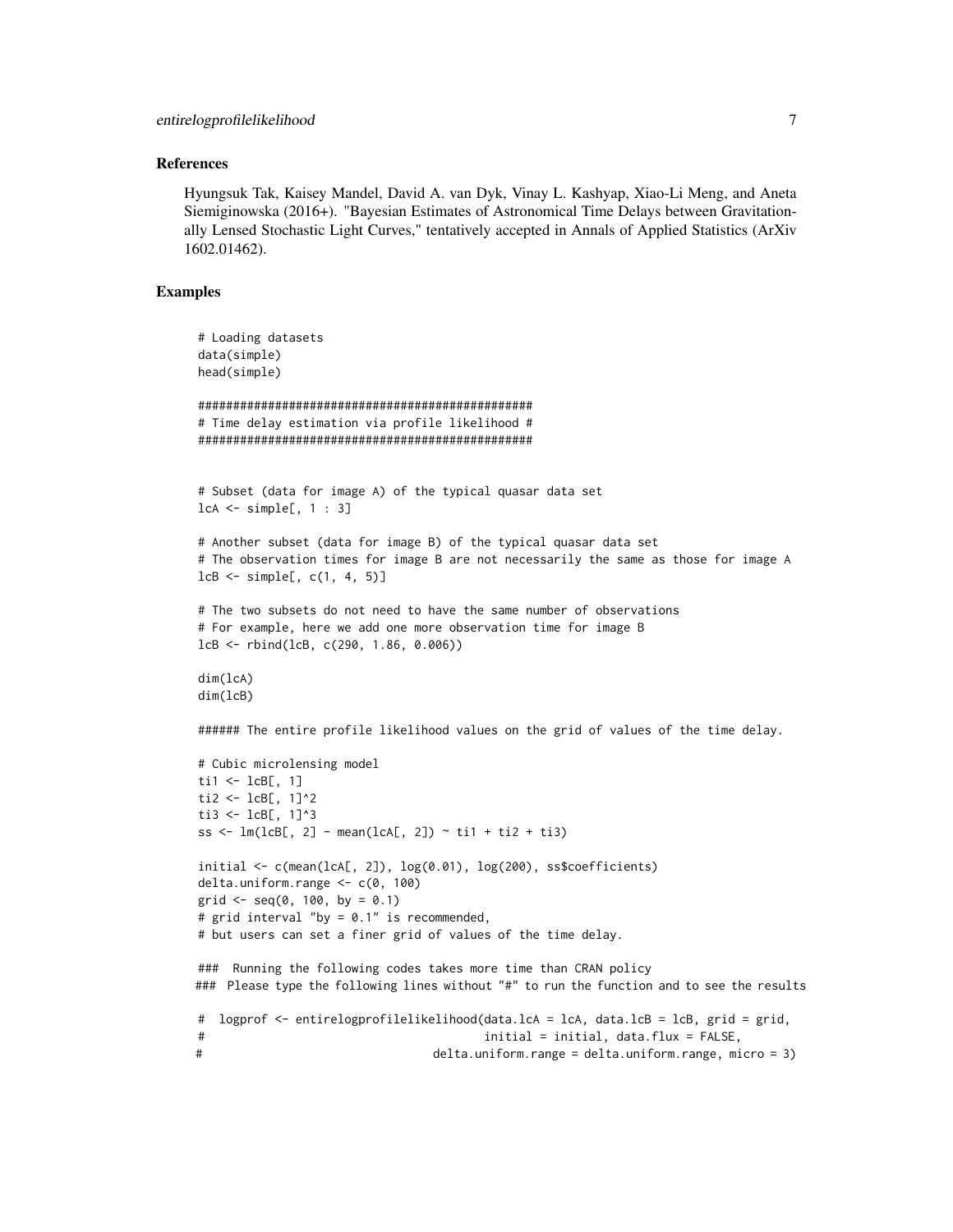#### References

Hyungsuk Tak, Kaisey Mandel, David A. van Dyk, Vinay L. Kashyap, Xiao-Li Meng, and Aneta Siemiginowska (2016+). "Bayesian Estimates of Astronomical Time Delays between Gravitationally Lensed Stochastic Light Curves," tentatively accepted in Annals of Applied Statistics (ArXiv 1602.01462).

#### Examples

```
# Loading datasets
data(simple)
head(simple)
################################################
# Time delay estimation via profile likelihood #
################################################
# Subset (data for image A) of the typical quasar data set
lcA <- simple[, 1 : 3]
# Another subset (data for image B) of the typical quasar data set
# The observation times for image B are not necessarily the same as those for image A
lcB \leq - simple[, c(1, 4, 5)]
# The two subsets do not need to have the same number of observations
# For example, here we add one more observation time for image B
lcB <- rbind(lcB, c(290, 1.86, 0.006))
dim(lcA)
dim(lcB)
###### The entire profile likelihood values on the grid of values of the time delay.
# Cubic microlensing model
ti1 \leftarrow lcB[, 1]
ti2 <- lcB[, 1]^{2}ti3 <- lcB[, 1]^3
ss \leq lm(lcB[, 2] - mean(lcA[, 2]) \sim ti1 + ti2 + ti3)
initial \leq c(mean(lcA[, 2]), log(0.01), log(200), ss$coefficients)
delta.uniform.range <- c(0, 100)
grid \leq -seq(0, 100, by = 0.1)# grid interval "by = 0.1" is recommended,
# but users can set a finer grid of values of the time delay.
### Running the following codes takes more time than CRAN policy
### Please type the following lines without "#" to run the function and to see the results
# logprof <- entirelogprofilelikelihood(data.lcA = lcA, data.lcB = lcB, grid = grid,
# initial = initial, data.flux = FALSE,
# delta.uniform.range = delta.uniform.range, micro = 3)
```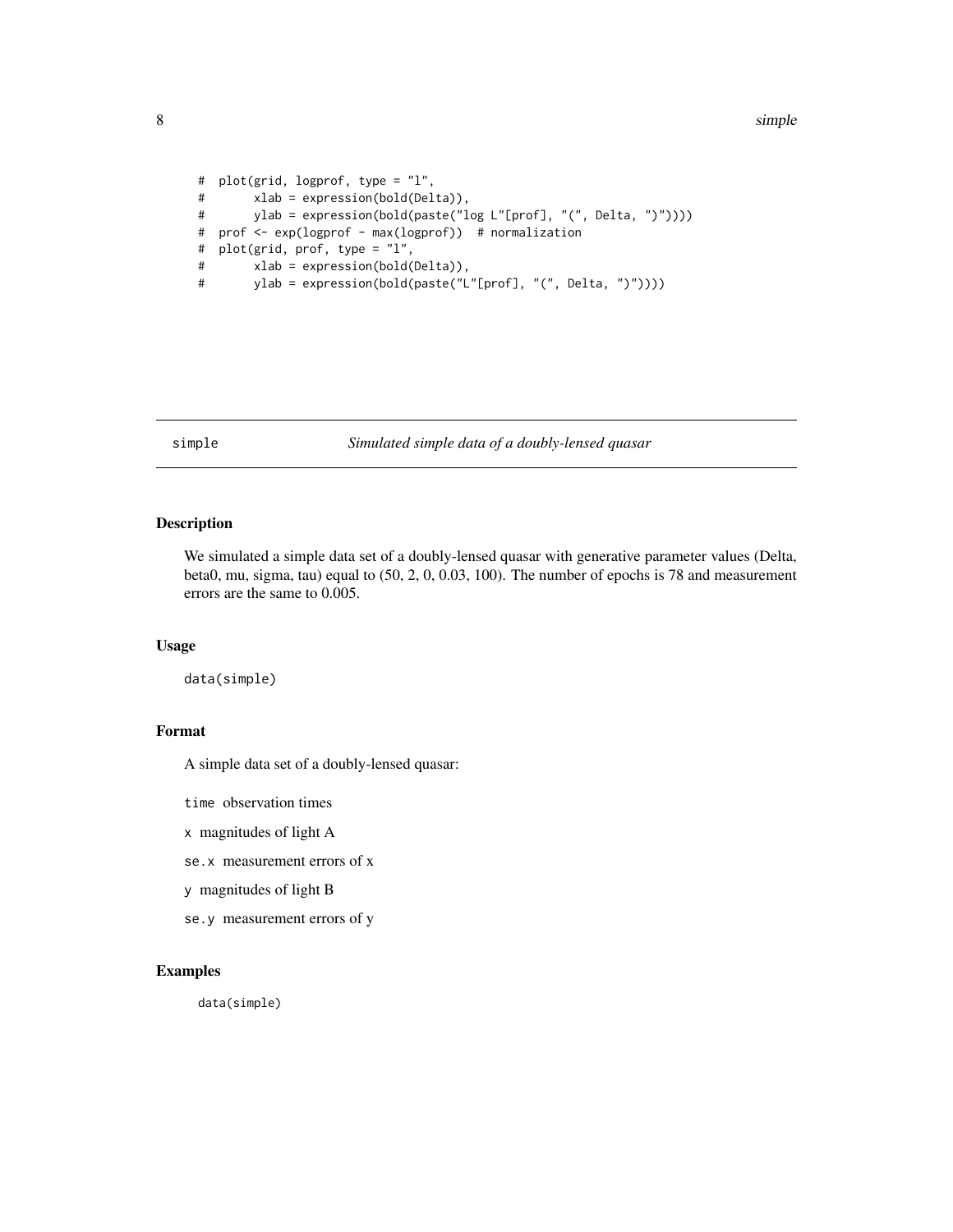#### <span id="page-7-0"></span>8 simple states of the state of the state of the state of the state of the state of the state of the state of the state of the state of the state of the state of the state of the state of the state of the state of the stat

```
# plot(grid, logprof, type = "l",
# xlab = expression(bold(Delta)),
       ylab = expression(bold(paste("log L"[prof], "(", Delta, ")"))))
# prof <- exp(logprof - max(logprof)) # normalization
# plot(grid, prof, type = "l",
# xlab = expression(bold(Delta)),
# ylab = expression(bold(paste("L"[prof], "(", Delta, ")"))))
```
#### simple *Simulated simple data of a doubly-lensed quasar*

#### Description

We simulated a simple data set of a doubly-lensed quasar with generative parameter values (Delta, beta0, mu, sigma, tau) equal to (50, 2, 0, 0.03, 100). The number of epochs is 78 and measurement errors are the same to 0.005.

#### Usage

data(simple)

#### Format

A simple data set of a doubly-lensed quasar:

time observation times

x magnitudes of light A

se.x measurement errors of x

y magnitudes of light B

se.y measurement errors of y

#### Examples

data(simple)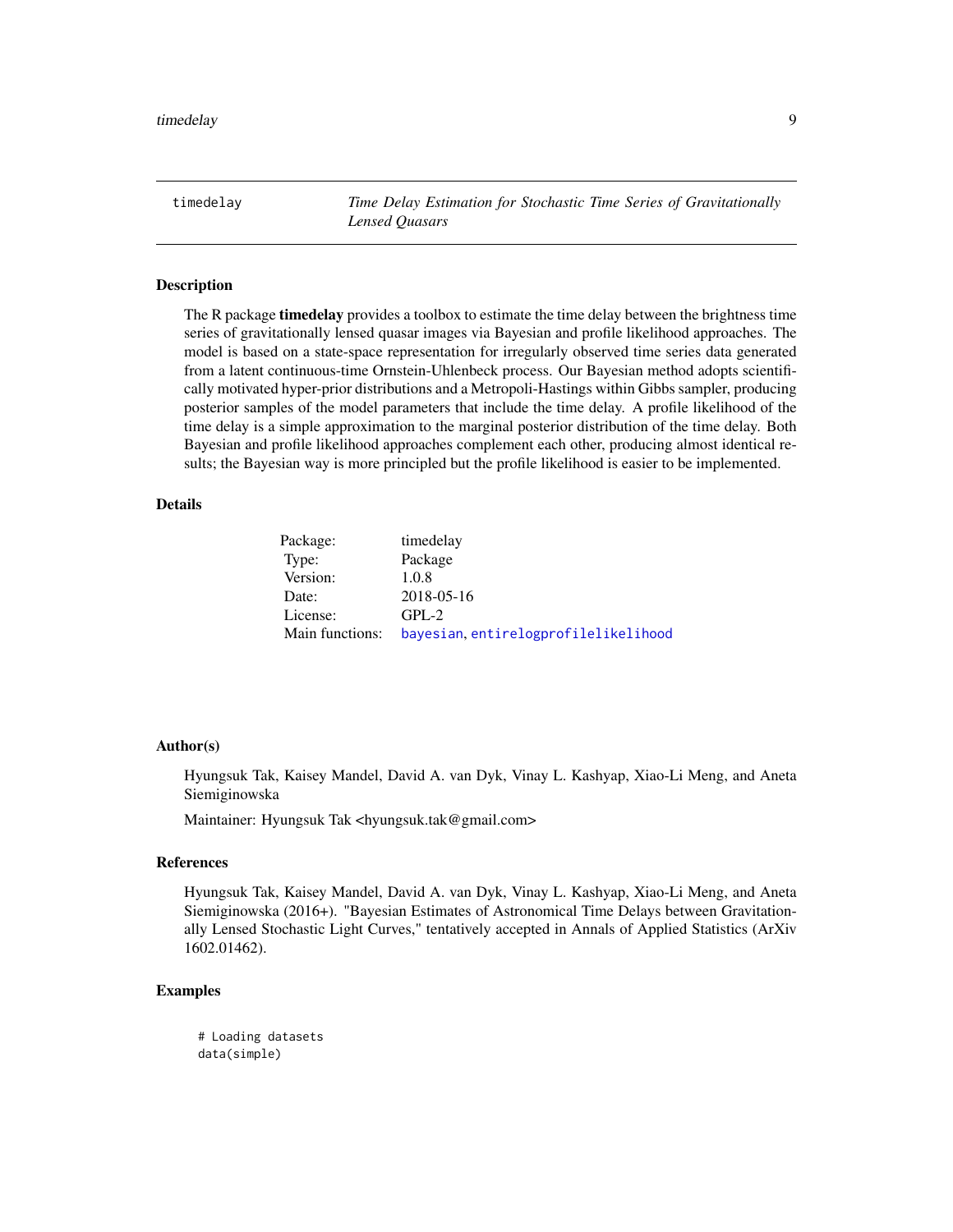<span id="page-8-0"></span>timedelay *Time Delay Estimation for Stochastic Time Series of Gravitationally Lensed Quasars*

#### Description

The R package **timedelay** provides a toolbox to estimate the time delay between the brightness time series of gravitationally lensed quasar images via Bayesian and profile likelihood approaches. The model is based on a state-space representation for irregularly observed time series data generated from a latent continuous-time Ornstein-Uhlenbeck process. Our Bayesian method adopts scientifically motivated hyper-prior distributions and a Metropoli-Hastings within Gibbs sampler, producing posterior samples of the model parameters that include the time delay. A profile likelihood of the time delay is a simple approximation to the marginal posterior distribution of the time delay. Both Bayesian and profile likelihood approaches complement each other, producing almost identical results; the Bayesian way is more principled but the profile likelihood is easier to be implemented.

#### Details

| Package:        | timedelay                            |
|-----------------|--------------------------------------|
| Type:           | Package                              |
| Version:        | 1.0.8                                |
| Date:           | 2018-05-16                           |
| License:        | $GPL-2$                              |
| Main functions: | bayesian, entirelogprofilelikelihood |

#### Author(s)

Hyungsuk Tak, Kaisey Mandel, David A. van Dyk, Vinay L. Kashyap, Xiao-Li Meng, and Aneta Siemiginowska

Maintainer: Hyungsuk Tak <hyungsuk.tak@gmail.com>

#### References

Hyungsuk Tak, Kaisey Mandel, David A. van Dyk, Vinay L. Kashyap, Xiao-Li Meng, and Aneta Siemiginowska (2016+). "Bayesian Estimates of Astronomical Time Delays between Gravitationally Lensed Stochastic Light Curves," tentatively accepted in Annals of Applied Statistics (ArXiv 1602.01462).

#### Examples

# Loading datasets data(simple)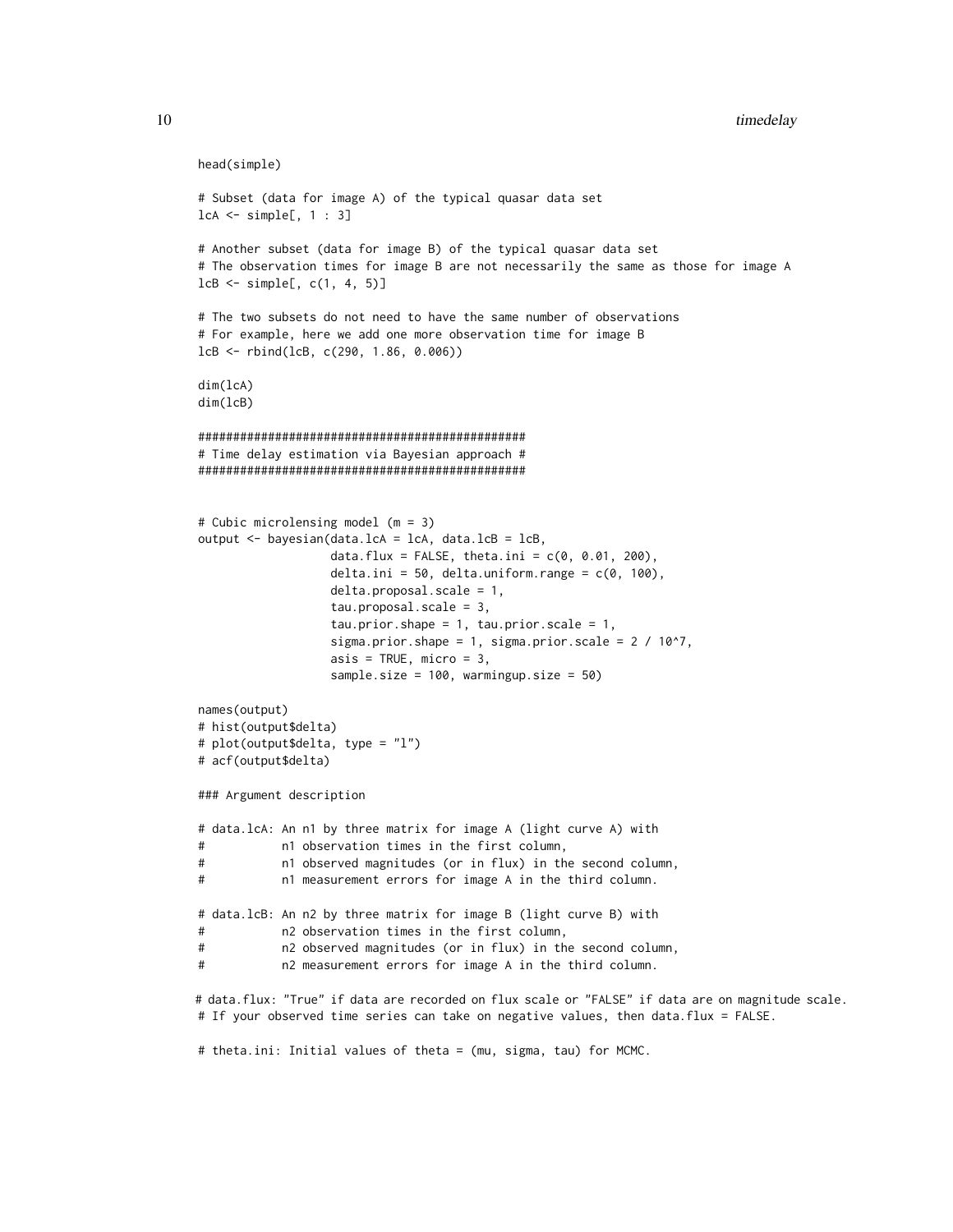```
head(simple)
# Subset (data for image A) of the typical quasar data set
lcA <- simple[, 1 : 3]
# Another subset (data for image B) of the typical quasar data set
# The observation times for image B are not necessarily the same as those for image A
lcB \leq - simple[, c(1, 4, 5)]
# The two subsets do not need to have the same number of observations
# For example, here we add one more observation time for image B
lcB <- rbind(lcB, c(290, 1.86, 0.006))
dim(lcA)
dim(lcB)
###############################################
# Time delay estimation via Bayesian approach #
###############################################
# Cubic microlensing model (m = 3)
output <- bayesian(data.lcA = lcA, data.lcB = lcB,
                   data.flux = FALSE, theta.ini = c(0, 0.01, 200),
                   delta.ini = 50, delta.uniform.range = c(0, 100),
                   delta.proposal.scale = 1,
                   tau.proposal.scale = 3,
                   tau.prior.shape = 1, tau.prior.scale = 1,
                   sigma.prior.shape = 1, sigma.prior.scale = 2 / 10^7,
                   asis = TRUE, micro = 3,sample.size = 100, warmingup.size = 50)
names(output)
# hist(output$delta)
# plot(output$delta, type = "l")
# acf(output$delta)
### Argument description
# data.lcA: An n1 by three matrix for image A (light curve A) with
# n1 observation times in the first column,
# n1 observed magnitudes (or in flux) in the second column,
# n1 measurement errors for image A in the third column.
# data.lcB: An n2 by three matrix for image B (light curve B) with
# n2 observation times in the first column,
# n2 observed magnitudes (or in flux) in the second column,
# n2 measurement errors for image A in the third column.
# data.flux: "True" if data are recorded on flux scale or "FALSE" if data are on magnitude scale.
# If your observed time series can take on negative values, then data.flux = FALSE.
```
# theta.ini: Initial values of theta = (mu, sigma, tau) for MCMC.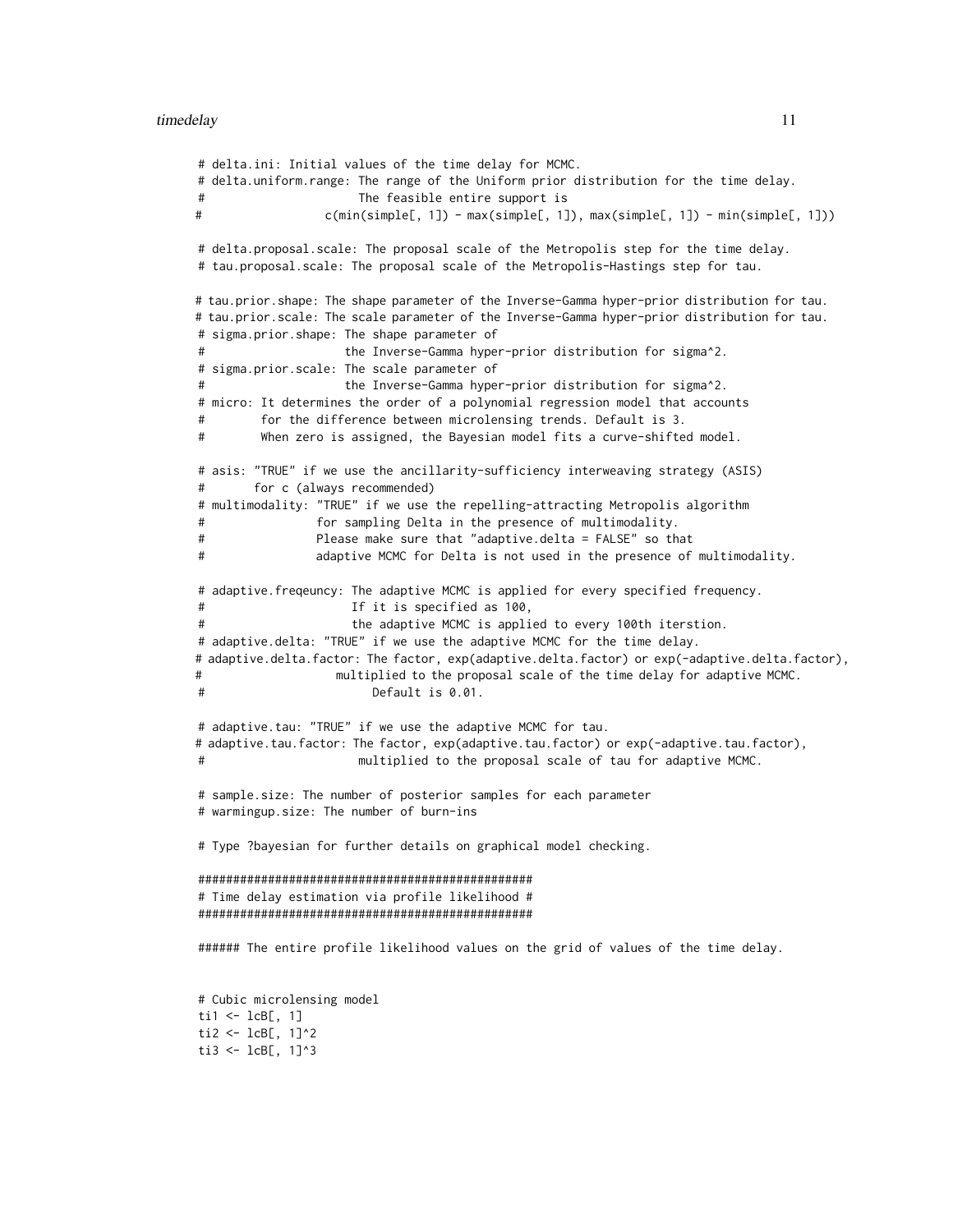# delta.ini: Initial values of the time delay for MCMC. # delta.uniform.range: The range of the Uniform prior distribution for the time delay. # The feasible entire support is # c(min(simple[, 1]) - max(simple[, 1]), max(simple[, 1]) - min(simple[, 1])) # delta.proposal.scale: The proposal scale of the Metropolis step for the time delay. # tau.proposal.scale: The proposal scale of the Metropolis-Hastings step for tau. # tau.prior.shape: The shape parameter of the Inverse-Gamma hyper-prior distribution for tau. # tau.prior.scale: The scale parameter of the Inverse-Gamma hyper-prior distribution for tau. # sigma.prior.shape: The shape parameter of the Inverse-Gamma hyper-prior distribution for sigma^2. # sigma.prior.scale: The scale parameter of the Inverse-Gamma hyper-prior distribution for sigma^2. # micro: It determines the order of a polynomial regression model that accounts # for the difference between microlensing trends. Default is 3. # When zero is assigned, the Bayesian model fits a curve-shifted model. # asis: "TRUE" if we use the ancillarity-sufficiency interweaving strategy (ASIS) # for c (always recommended) # multimodality: "TRUE" if we use the repelling-attracting Metropolis algorithm for sampling Delta in the presence of multimodality. # Please make sure that "adaptive.delta = FALSE" so that # adaptive MCMC for Delta is not used in the presence of multimodality. # adaptive.freqeuncy: The adaptive MCMC is applied for every specified frequency. If it is specified as 100, the adaptive MCMC is applied to every 100th iterstion. # adaptive.delta: "TRUE" if we use the adaptive MCMC for the time delay. # adaptive.delta.factor: The factor, exp(adaptive.delta.factor) or exp(-adaptive.delta.factor), # multiplied to the proposal scale of the time delay for adaptive MCMC. # Default is 0.01. # adaptive.tau: "TRUE" if we use the adaptive MCMC for tau. # adaptive.tau.factor: The factor, exp(adaptive.tau.factor) or exp(-adaptive.tau.factor), # multiplied to the proposal scale of tau for adaptive MCMC. # sample.size: The number of posterior samples for each parameter # warmingup.size: The number of burn-ins # Type ?bayesian for further details on graphical model checking. ################################################ # Time delay estimation via profile likelihood # ################################################ ###### The entire profile likelihood values on the grid of values of the time delay. # Cubic microlensing model ti $1 \leftarrow$  lcB[, 1] ti2 <-  $lcB[, 1]$ ^2 ti3 <-  $lcB[, 1]$ ^3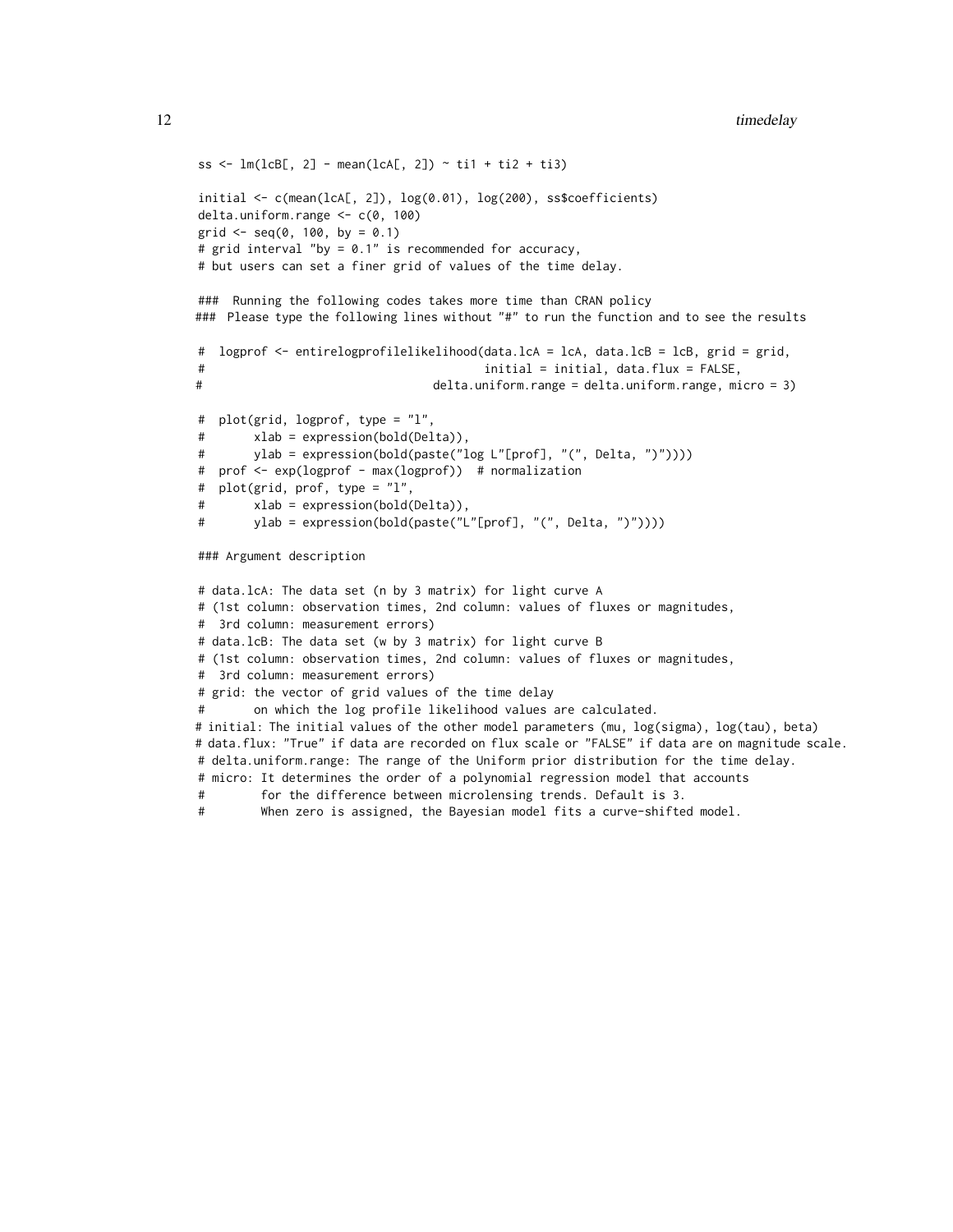```
ss <- lm(lcB[, 2] - mean(lcA[, 2]) - til + ti2 + ti3)initial \leq c(mean(lcA[, 2]), log(0.01), log(200), ss$coefficients)
delta.uniform.range <- c(0, 100)
grid \leq seq(0, 100, by = 0.1)
# grid interval "by = 0.1" is recommended for accuracy,
# but users can set a finer grid of values of the time delay.
### Running the following codes takes more time than CRAN policy
### Please type the following lines without "#" to run the function and to see the results
# logprof <- entirelogprofilelikelihood(data.lcA = lcA, data.lcB = lcB, grid = grid,
# initial = initial, data.flux = FALSE,
# delta.uniform.range = delta.uniform.range, micro = 3)
# plot(grid, logprof, type = "l",
# xlab = expression(bold(Delta)),
# ylab = expression(bold(paste("log L"[prof], "(", Delta, ")"))))
# prof <- exp(logprof - max(logprof)) # normalization
# plot(grid, prof, type = "l",
        xlab = expression(bold(Delta)),ylab = expression(bold(paste("L"[prof], "(", Delta, ")"))))
### Argument description
# data.lcA: The data set (n by 3 matrix) for light curve A
# (1st column: observation times, 2nd column: values of fluxes or magnitudes,
# 3rd column: measurement errors)
# data.lcB: The data set (w by 3 matrix) for light curve B
# (1st column: observation times, 2nd column: values of fluxes or magnitudes,
# 3rd column: measurement errors)
# grid: the vector of grid values of the time delay
        on which the log profile likelihood values are calculated.
# initial: The initial values of the other model parameters (mu, log(sigma), log(tau), beta)
# data.flux: "True" if data are recorded on flux scale or "FALSE" if data are on magnitude scale.
# delta.uniform.range: The range of the Uniform prior distribution for the time delay.
# micro: It determines the order of a polynomial regression model that accounts
         for the difference between microlensing trends. Default is 3.
```

```
# When zero is assigned, the Bayesian model fits a curve-shifted model.
```